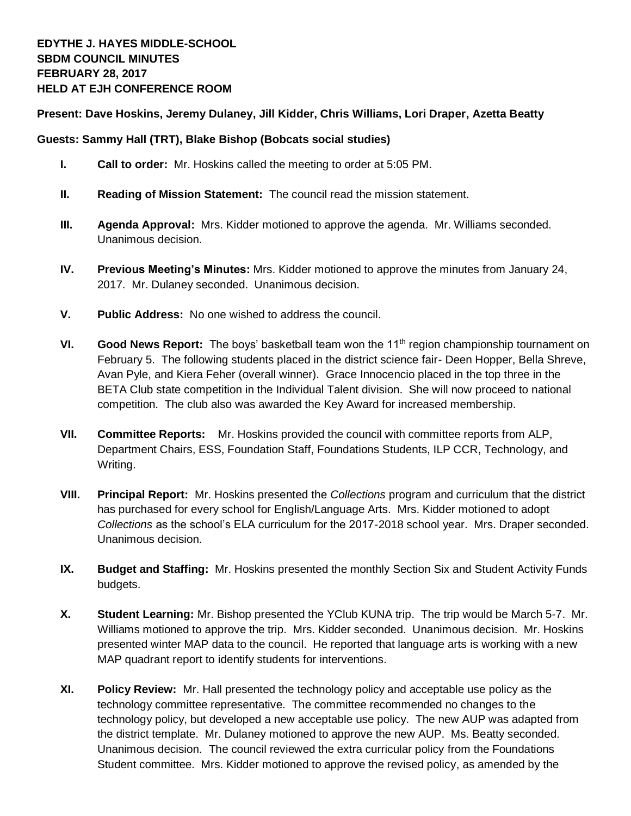## **Present: Dave Hoskins, Jeremy Dulaney, Jill Kidder, Chris Williams, Lori Draper, Azetta Beatty**

## **Guests: Sammy Hall (TRT), Blake Bishop (Bobcats social studies)**

- **I. Call to order:** Mr. Hoskins called the meeting to order at 5:05 PM.
- **II. Reading of Mission Statement:** The council read the mission statement.
- **III. Agenda Approval:** Mrs. Kidder motioned to approve the agenda. Mr. Williams seconded. Unanimous decision.
- **IV. Previous Meeting's Minutes:** Mrs. Kidder motioned to approve the minutes from January 24, 2017. Mr. Dulaney seconded. Unanimous decision.
- **V. Public Address:** No one wished to address the council.
- **VI. Good News Report:** The boys' basketball team won the 11<sup>th</sup> region championship tournament on February 5. The following students placed in the district science fair- Deen Hopper, Bella Shreve, Avan Pyle, and Kiera Feher (overall winner). Grace Innocencio placed in the top three in the BETA Club state competition in the Individual Talent division. She will now proceed to national competition. The club also was awarded the Key Award for increased membership.
- **VII. Committee Reports:** Mr. Hoskins provided the council with committee reports from ALP, Department Chairs, ESS, Foundation Staff, Foundations Students, ILP CCR, Technology, and Writing.
- **VIII. Principal Report:** Mr. Hoskins presented the *Collections* program and curriculum that the district has purchased for every school for English/Language Arts. Mrs. Kidder motioned to adopt *Collections* as the school's ELA curriculum for the 2017-2018 school year. Mrs. Draper seconded. Unanimous decision.
- **IX. Budget and Staffing:** Mr. Hoskins presented the monthly Section Six and Student Activity Funds budgets.
- **X. Student Learning:** Mr. Bishop presented the YClub KUNA trip. The trip would be March 5-7. Mr. Williams motioned to approve the trip. Mrs. Kidder seconded. Unanimous decision. Mr. Hoskins presented winter MAP data to the council. He reported that language arts is working with a new MAP quadrant report to identify students for interventions.
- **XI. Policy Review:** Mr. Hall presented the technology policy and acceptable use policy as the technology committee representative. The committee recommended no changes to the technology policy, but developed a new acceptable use policy. The new AUP was adapted from the district template. Mr. Dulaney motioned to approve the new AUP. Ms. Beatty seconded. Unanimous decision. The council reviewed the extra curricular policy from the Foundations Student committee. Mrs. Kidder motioned to approve the revised policy, as amended by the